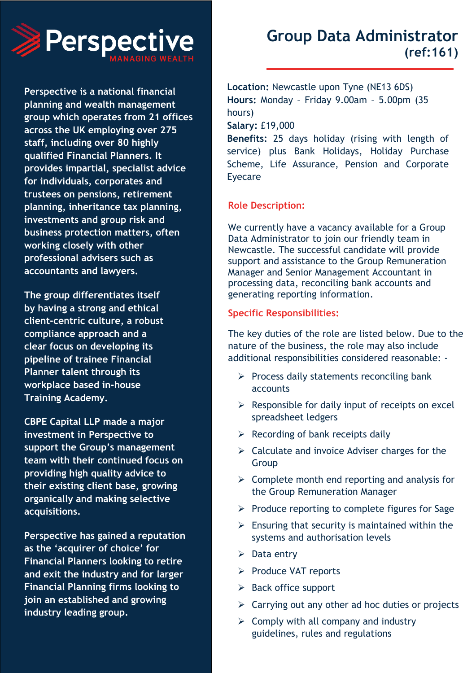

**Perspective is a national financial planning and wealth management group which operates from 21 offices across the UK employing over 275 staff, including over 80 highly qualified Financial Planners. It provides impartial, specialist advice for individuals, corporates and trustees on pensions, retirement planning, inheritance tax planning, investments and group risk and business protection matters, often working closely with other professional advisers such as accountants and lawyers.**

**The group differentiates itself by having a strong and ethical client-centric culture, a robust compliance approach and a clear focus on developing its pipeline of trainee Financial Planner talent through its workplace based in-house Training Academy.**

**CBPE Capital LLP made a major investment in Perspective to support the Group's management team with their continued focus on providing high quality advice to their existing client base, growing organically and making selective acquisitions.**

**Perspective has gained a reputation as the 'acquirer of choice' for Financial Planners looking to retire and exit the industry and for larger Financial Planning firms looking to join an established and growing industry leading group.**

# **Group Data Administrator (ref:161)**

**Location:** Newcastle upon Tyne (NE13 6DS) **Hours:** Monday – Friday 9.00am – 5.00pm (35 hours) **Salary:** £19,000

**Benefits:** 25 days holiday (rising with length of service) plus Bank Holidays, Holiday Purchase Scheme, Life Assurance, Pension and Corporate Eyecare

## **Role Description:**

We currently have a vacancy available for a Group Data Administrator to join our friendly team in Newcastle. The successful candidate will provide support and assistance to the Group Remuneration Manager and Senior Management Accountant in processing data, reconciling bank accounts and generating reporting information.

## **Specific Responsibilities:**

The key duties of the role are listed below. Due to the nature of the business, the role may also include additional responsibilities considered reasonable: -

- $\triangleright$  Process daily statements reconciling bank accounts
- $\triangleright$  Responsible for daily input of receipts on excel spreadsheet ledgers
- $\triangleright$  Recording of bank receipts daily
- $\triangleright$  Calculate and invoice Adviser charges for the Group
- $\triangleright$  Complete month end reporting and analysis for the Group Remuneration Manager
- ➢ Produce reporting to complete figures for Sage
- $\triangleright$  Ensuring that security is maintained within the systems and authorisation levels
- $\triangleright$  Data entry
- ➢ Produce VAT reports
- ➢ Back office support
- $\triangleright$  Carrying out any other ad hoc duties or projects
- $\triangleright$  Comply with all company and industry guidelines, rules and regulations